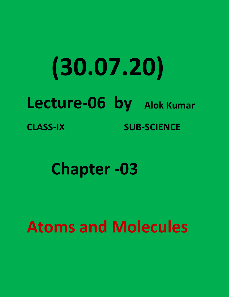## **(30.07.20) Lecture-06 by Alok Kumar CLASS-IX SUB-SCIENCE**

**Chapter -03**

**Atoms and Molecules**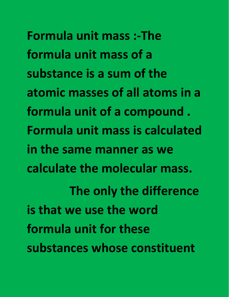**Formula unit mass :-The formula unit mass of a substance is a sum of the atomic masses of all atoms in a formula unit of a compound . Formula unit mass is calculated in the same manner as we calculate the molecular mass. The only the difference is that we use the word formula unit for these substances whose constituent**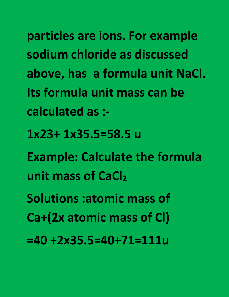**particles are ions. For example sodium chloride as discussed above, has a formula unit NaCl. Its formula unit mass can be calculated as :-**

**1x23+ 1x35.5=58.5 u**

**Example: Calculate the formula unit mass of CaCl<sup>2</sup>**

**Solutions :atomic mass of**

**Ca+(2x atomic mass of Cl)**

**=40 +2x35.5=40+71=111u**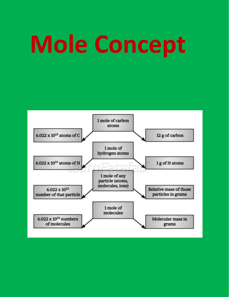# **Mole Concept**

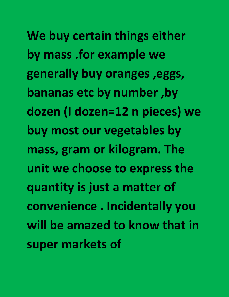**We buy certain things either by mass .for example we generally buy oranges ,eggs, bananas etc by number ,by dozen (I dozen=12 n pieces) we buy most our vegetables by mass, gram or kilogram. The unit we choose to express the quantity is just a matter of convenience . Incidentally you will be amazed to know that in super markets of**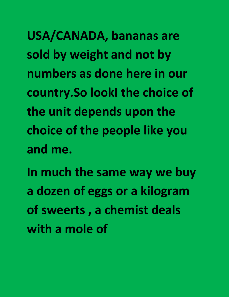**USA/CANADA, bananas are sold by weight and not by numbers as done here in our country.So lookI the choice of the unit depends upon the choice of the people like you and me.**

**In much the same way we buy a dozen of eggs or a kilogram of sweerts , a chemist deals with a mole of**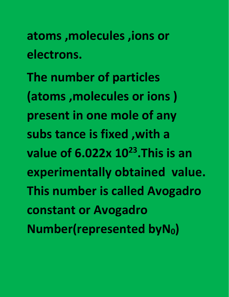**atoms ,molecules ,ions or electrons.**

**The number of particles (atoms ,molecules or ions ) present in one mole of any subs tance is fixed ,with a value of 6.022x 10 23 .This is an experimentally obtained value. This number is called Avogadro constant or Avogadro Number(represented byN0)**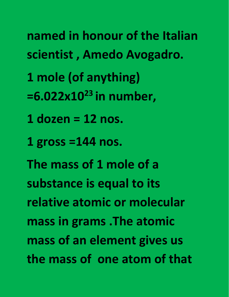- **named in honour of the Italian scientist , Amedo Avogadro.**
- **1 mole (of anything)**
- **=6.022x10 23 in number,**
- **1 dozen =12 nos.**
- **1 gross =144 nos.**

**The mass of 1 mole of a substance is equal to its relative atomic or molecular mass in grams .The atomic mass of an element gives us the mass of one atom of that**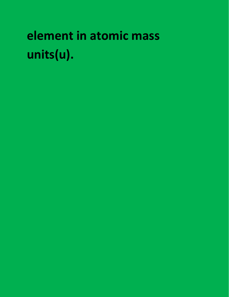### element in atomic mass units(u).

- 
- 
- -
	- -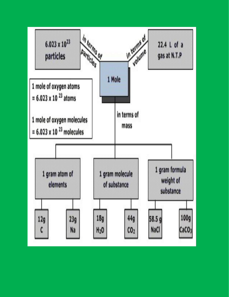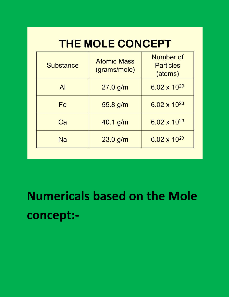#### THE MOLE CONCEPT

| <b>Substance</b> | <b>Atomic Mass</b><br>(grams/mole) | Number of<br><b>Particles</b><br>(atoms) |
|------------------|------------------------------------|------------------------------------------|
| $\mathsf{Al}$    | $27.0$ g/m                         | $6.02 \times 10^{23}$                    |
| Fe               | 55.8 g/m                           | $6.02 \times 10^{23}$                    |
| Ca               | $40.1$ g/m                         | $6.02 \times 10^{23}$                    |
| Na               | $23.0$ g/m                         | $6.02 \times 10^{23}$                    |

**Numericals based on the Mole concept:-**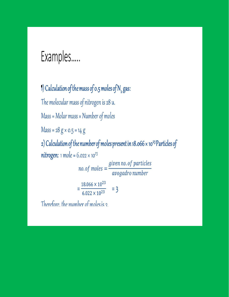#### Examples.....

1) Calculation of the mass of 0.5 moles of  $N_{2}$  gas: The molecular mass of nitrogen is 28 u.  $Mass = Molar mass \times Number of moles$  $Mass = 28 g \times 0.5 = 14 g$ 2) Calculation of the number of moles present in 18.066 x 10<sup>23</sup> Particles of **nitrogen:** 1 mole =  $6.022 \times 10^{23}$  $no. of moles = \frac{given\, no. of\, particles}{avogadro\, number}$  $=\frac{18.066\times10^{23}}{6.022\times10^{23}}$  = 3

Therefore, the number of moles is 2.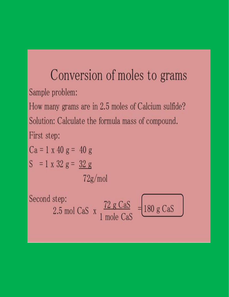### Conversion of moles to grams Sample problem:

How many grams are in 2.5 moles of Calcium sulfide? Solution: Calculate the formula mass of compound. First step:

$$
Ca = 1 x 40 g = 40 g
$$
  
\n
$$
S = 1 x 32 g = 32 g
$$
  
\n
$$
72g/mol
$$
  
\nSecond step:  
\n
$$
2.5 \text{ mol Cas } x \frac{72 g CaS}{1 \text{ mole Cas}} = 180 g CaS
$$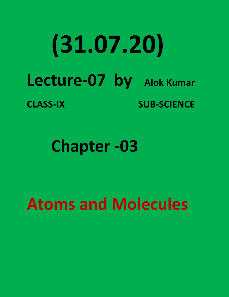### **(31.07.20) Lecture-07 by Alok Kumar CLASS-IX SUB-SCIENCE**

**Chapter -03**

**Atoms and Molecules**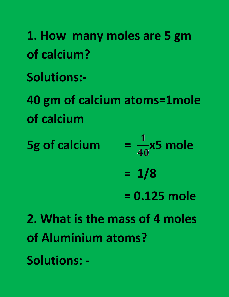**1. How many moles are 5 gm of calcium? Solutions:- 40 gm of calcium atoms=1mole of calcium 5g** of calcium  $=$   $\frac{1}{40}$ x5 mole

**= 1/8**

**= 0.125 mole**

**2. What is the mass of 4 moles of Aluminium atoms? Solutions: -**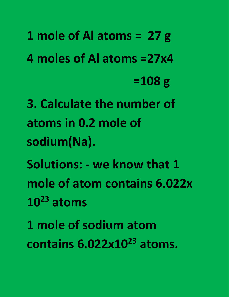**1 mole of Al atoms = 27 g 4 moles of Al atoms =27x4 =108 g 3. Calculate the number of atoms in 0.2 mole of sodium(Na). Solutions: - we know that 1 mole of atom contains 6.022x 10 <sup>23</sup> atoms 1 mole of sodium atom contains 6.022x10 <sup>23</sup> atoms.**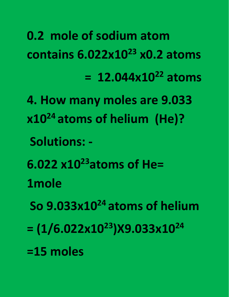**0.2 mole of sodium atom contains 6.022x10 <sup>23</sup> x0.2 atoms = 12.044x10 <sup>22</sup> atoms**

- **4. How many moles are 9.033 x10 <sup>24</sup> atoms of helium (He)?**
	- **Solutions: -**
- **6.022 x10 <sup>23</sup>atoms of He=**
- **1mole**
- **So 9.033x10 <sup>24</sup> atoms of helium**
- $= (1/6.022 \times 10^{23})$ X9.033x10<sup>24</sup> **24**
- **=15 moles**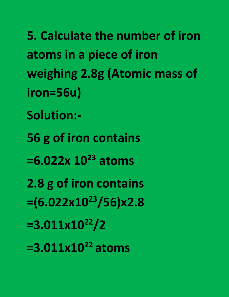**5. Calculate the number of iron atoms in a piece of iron weighing 2.8g (Atomic mass of iron=56u) Solution:- 56 g of iron contains =6.022x 10 <sup>23</sup> atoms 2.8 g of iron contains =(6.022x10 <sup>23</sup>/56)x2.8**

- **=3.011x10 <sup>22</sup>/2**
- **=3.011x10 <sup>22</sup> atoms**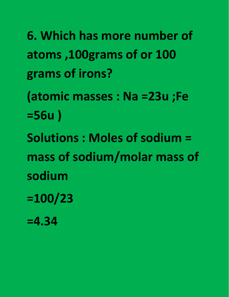**6. Which has more number of atoms ,100grams of or 100 grams of irons?**

**(atomic masses : Na =23u ;Fe =56u )**

**Solutions : Moles of sodium = mass of sodium/molar mass of sodium**

**=100/23**

**=4.34**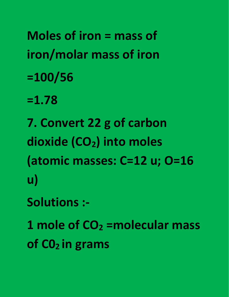**Moles of iron =mass of iron/molar mass of iron =100/56**

**=1.78**

**7. Convert 22 g of carbon dioxide (CO2) into moles (atomic masses: C=12 u; O=16 u)**

**Solutions :-**

**1 mole of CO<sup>2</sup> =molecular mass of C0<sup>2</sup> in grams**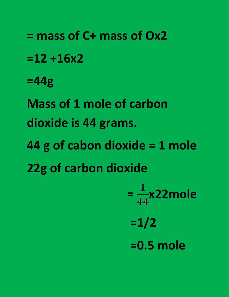**= mass of C+ mass of Ox2 =12 +16x2 =44g Mass of 1 mole of carbon dioxide is 44 grams. 44 g of cabon dioxide = 1 mole 22g of carbon dioxide**

 $=\frac{1}{44}$ x22mole **=1/2 =0.5 mole**